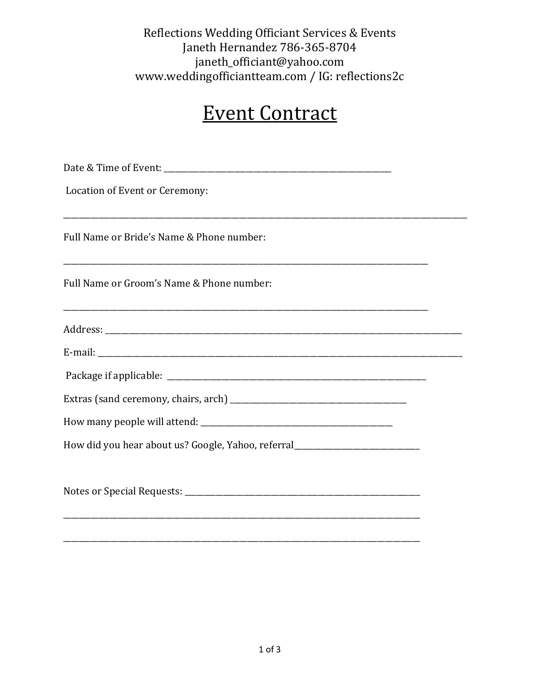Reflections Wedding Officiant Services & Events Janeth Hernandez 786-365-8704 janeth\_officiant@yahoo.com www.weddingofficiantteam.com / IG: reflections2c

## **Event Contract**

| Location of Event or Ceremony:                                                   |  |
|----------------------------------------------------------------------------------|--|
| Full Name or Bride's Name & Phone number:                                        |  |
| Full Name or Groom's Name & Phone number:                                        |  |
|                                                                                  |  |
|                                                                                  |  |
|                                                                                  |  |
|                                                                                  |  |
|                                                                                  |  |
| How did you hear about us? Google, Yahoo, referral______________________________ |  |
|                                                                                  |  |
|                                                                                  |  |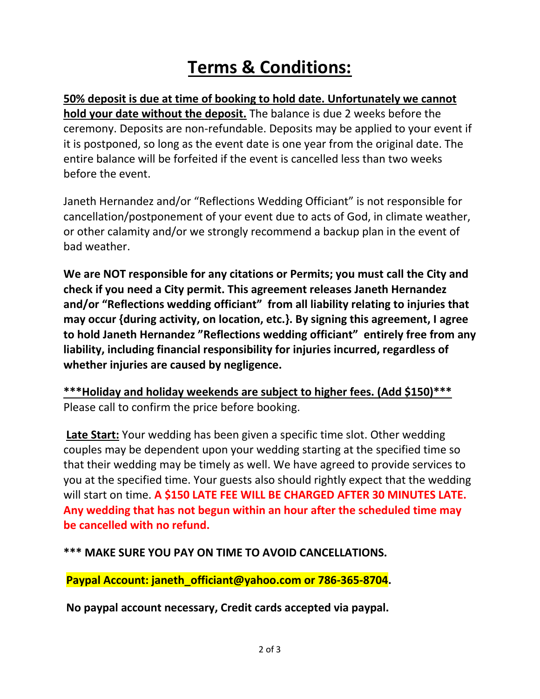## **Terms & Conditions:**

**50% deposit is due at time of booking to hold date. Unfortunately we cannot hold your date without the deposit.** The balance is due 2 weeks before the ceremony. Deposits are non-refundable. Deposits may be applied to your event if it is postponed, so long as the event date is one year from the original date. The entire balance will be forfeited if the event is cancelled less than two weeks before the event.

Janeth Hernandez and/or "Reflections Wedding Officiant" is not responsible for cancellation/postponement of your event due to acts of God, in climate weather, or other calamity and/or we strongly recommend a backup plan in the event of bad weather.

**We are NOT responsible for any citations or Permits; you must call the City and check if you need a City permit. This agreement releases Janeth Hernandez and/or "Reflections wedding officiant" from all liability relating to injuries that may occur {during activity, on location, etc.}. By signing this agreement, I agree to hold Janeth Hernandez "Reflections wedding officiant" entirely free from any liability, including financial responsibility for injuries incurred, regardless of whether injuries are caused by negligence.**

**\*\*\*Holiday and holiday weekends are subject to higher fees. (Add \$150)\*\*\*** Please call to confirm the price before booking.

**Late Start:** Your wedding has been given a specific time slot. Other wedding couples may be dependent upon your wedding starting at the specified time so that their wedding may be timely as well. We have agreed to provide services to you at the specified time. Your guests also should rightly expect that the wedding will start on time. **A \$150 LATE FEE WILL BE CHARGED AFTER 30 MINUTES LATE. Any wedding that has not begun within an hour after the scheduled time may be cancelled with no refund.**

**\*\*\* MAKE SURE YOU PAY ON TIME TO AVOID CANCELLATIONS.**

**Paypal Account: janeth\_officiant@yahoo.com or 786-365-8704.**

**No paypal account necessary, Credit cards accepted via paypal.**